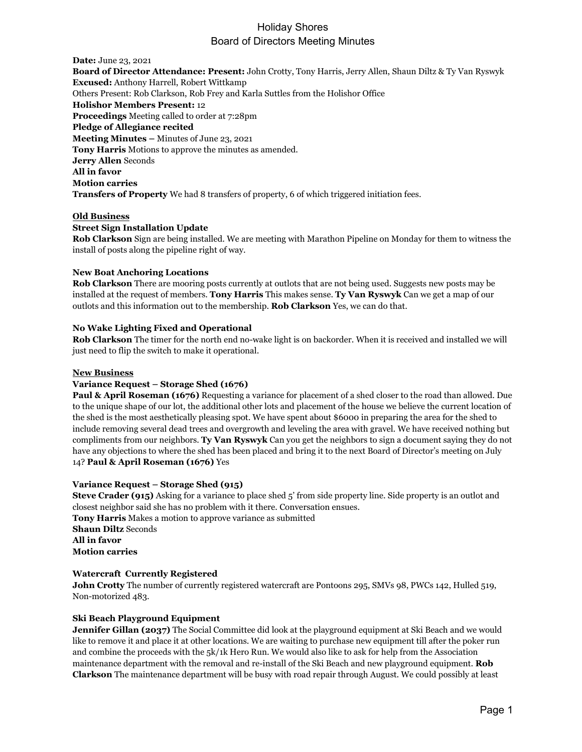# Holiday Shores Board of Directors Meeting Minutes

**Date:** June 23, 2021 **Board of Director Attendance: Present:** John Crotty, Tony Harris, Jerry Allen, Shaun Diltz & Ty Van Ryswyk **Excused:** Anthony Harrell, Robert Wittkamp Others Present: Rob Clarkson, Rob Frey and Karla Suttles from the Holishor Office **Holishor Members Present:** 12 **Proceedings** Meeting called to order at 7:28pm **Pledge of Allegiance recited Meeting Minutes –** Minutes of June 23, 2021 **Tony Harris** Motions to approve the minutes as amended. **Jerry Allen** Seconds **All in favor Motion carries Transfers of Property** We had 8 transfers of property, 6 of which triggered initiation fees.

### **Old Business**

### **Street Sign Installation Update**

**Rob Clarkson** Sign are being installed. We are meeting with Marathon Pipeline on Monday for them to witness the install of posts along the pipeline right of way.

### **New Boat Anchoring Locations**

**Rob Clarkson** There are mooring posts currently at outlots that are not being used. Suggests new posts may be installed at the request of members. **Tony Harris** This makes sense. **Ty Van Ryswyk** Can we get a map of our outlots and this information out to the membership. **Rob Clarkson** Yes, we can do that.

### **No Wake Lighting Fixed and Operational**

**Rob Clarkson** The timer for the north end no-wake light is on backorder. When it is received and installed we will just need to flip the switch to make it operational.

#### **New Business**

#### **Variance Request – Storage Shed (1676)**

**Paul & April Roseman (1676)** Requesting a variance for placement of a shed closer to the road than allowed. Due to the unique shape of our lot, the additional other lots and placement of the house we believe the current location of the shed is the most aesthetically pleasing spot. We have spent about \$6000 in preparing the area for the shed to include removing several dead trees and overgrowth and leveling the area with gravel. We have received nothing but compliments from our neighbors. **Ty Van Ryswyk** Can you get the neighbors to sign a document saying they do not have any objections to where the shed has been placed and bring it to the next Board of Director's meeting on July 14? **Paul & April Roseman (1676)** Yes

### **Variance Request – Storage Shed (915)**

**Steve Crader (915)** Asking for a variance to place shed 5' from side property line. Side property is an outlot and closest neighbor said she has no problem with it there. Conversation ensues. **Tony Harris** Makes a motion to approve variance as submitted **Shaun Diltz** Seconds **All in favor Motion carries**

#### **Watercraft Currently Registered**

**John Crotty** The number of currently registered watercraft are Pontoons 295, SMVs 98, PWCs 142, Hulled 519, Non-motorized 483.

## **Ski Beach Playground Equipment**

**Jennifer Gillan (2037)** The Social Committee did look at the playground equipment at Ski Beach and we would like to remove it and place it at other locations. We are waiting to purchase new equipment till after the poker run and combine the proceeds with the 5k/1k Hero Run. We would also like to ask for help from the Association maintenance department with the removal and re-install of the Ski Beach and new playground equipment. **Rob Clarkson** The maintenance department will be busy with road repair through August. We could possibly at least